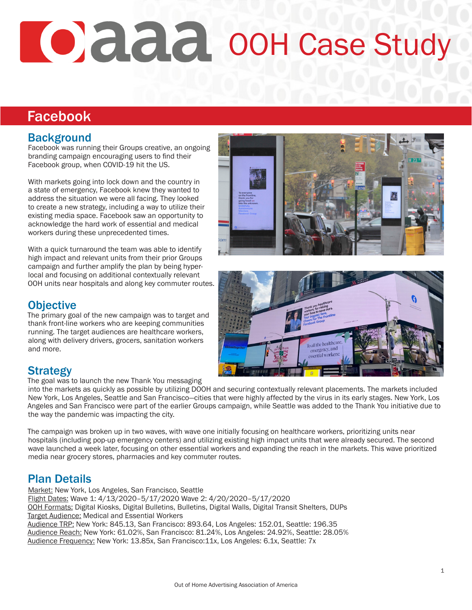# **O**daa ooH Case Study

## Facebook

#### **Background**

Facebook was running their Groups creative, an ongoing branding campaign encouraging users to find their Facebook group, when COVID-19 hit the US.

With markets going into lock down and the country in a state of emergency, Facebook knew they wanted to address the situation we were all facing. They looked to create a new strategy, including a way to utilize their existing media space. Facebook saw an opportunity to acknowledge the hard work of essential and medical workers during these unprecedented times.

With a quick turnaround the team was able to identify high impact and relevant units from their prior Groups campaign and further amplify the plan by being hyperlocal and focusing on additional contextually relevant OOH units near hospitals and along key commuter routes.



#### **Objective**

The primary goal of the new campaign was to target and thank front-line workers who are keeping communities running. The target audiences are healthcare workers, along with delivery drivers, grocers, sanitation workers and more.



## **Strategy**

The goal was to launch the new Thank You messaging

into the markets as quickly as possible by utilizing DOOH and securing contextually relevant placements. The markets included New York, Los Angeles, Seattle and San Francisco—cities that were highly affected by the virus in its early stages. New York, Los Angeles and San Francisco were part of the earlier Groups campaign, while Seattle was added to the Thank You initiative due to the way the pandemic was impacting the city.

The campaign was broken up in two waves, with wave one initially focusing on healthcare workers, prioritizing units near hospitals (including pop-up emergency centers) and utilizing existing high impact units that were already secured. The second wave launched a week later, focusing on other essential workers and expanding the reach in the markets. This wave prioritized media near grocery stores, pharmacies and key commuter routes.

## Plan Details

Market: New York, Los Angeles, San Francisco, Seattle Flight Dates: Wave 1: 4/13/2020–5/17/2020 Wave 2: 4/20/2020–5/17/2020 OOH Formats: Digital Kiosks, Digital Bulletins, Bulletins, Digital Walls, Digital Transit Shelters, DUPs Target Audience: Medical and Essential Workers Audience TRP: New York: 845.13, San Francisco: 893.64, Los Angeles: 152.01, Seattle: 196.35 Audience Reach: New York: 61.02%, San Francisco: 81.24%, Los Angeles: 24.92%, Seattle: 28.05% Audience Frequency: New York: 13.85x, San Francisco:11x, Los Angeles: 6.1x, Seattle: 7x